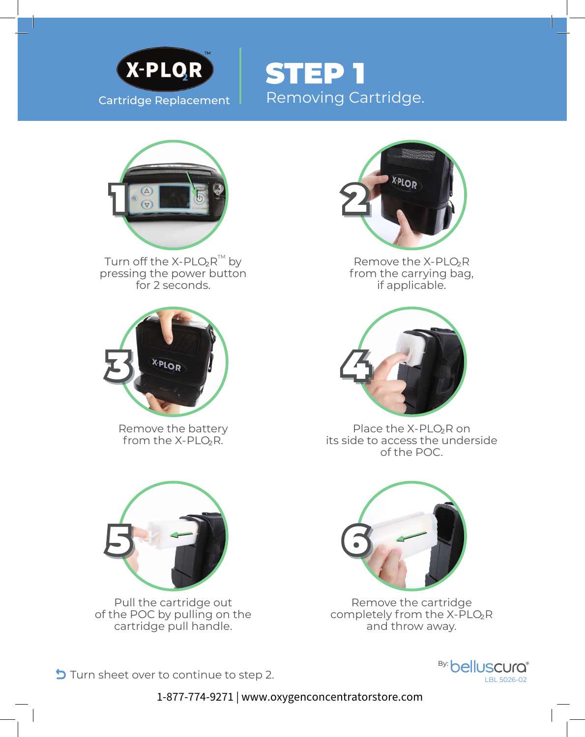

Cartridge Replacement Removing Cartridge. STEP 1



Turn off the X-PLO<sub>2</sub> $R^{TM}$  by pressing the power button for 2 seconds.



Remove the battery from the X-PLO<sub>2</sub>R.



Remove the X-PLO₂R from the carrying bag, if applicable.



Place the X-PLO<sub>2</sub>R on its side to access the underside of the POC.



Pull the cartridge out of the POC by pulling on the cartridge pull handle.



Remove the cartridge completely from the X-PLO₂R and throw away.

Turn sheet over to continue to step 2.<br>LBL 5026-02



1-877-774-9271 | www.oxygenconcentratorstore.com